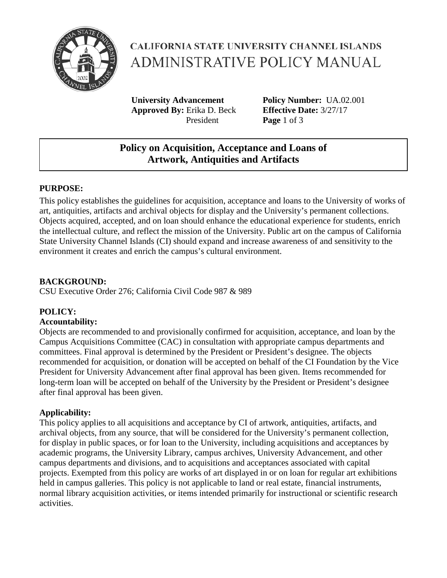

# **CALIFORNIA STATE UNIVERSITY CHANNEL ISLANDS** ADMINISTRATIVE POLICY MANUAL

**University Advancement Policy Number:** UA.02.001 **Approved By:** Erika D. Beck **Effective Date:** 3/27/17 President **Page** 1 of 3

## **Policy on Acquisition, Acceptance and Loans of Artwork, Antiquities and Artifacts**

### **PURPOSE:**

This policy establishes the guidelines for acquisition, acceptance and loans to the University of works of art, antiquities, artifacts and archival objects for display and the University's permanent collections. Objects acquired, accepted, and on loan should enhance the educational experience for students, enrich the intellectual culture, and reflect the mission of the University. Public art on the campus of California State University Channel Islands (CI) should expand and increase awareness of and sensitivity to the environment it creates and enrich the campus's cultural environment.

### **BACKGROUND:**

CSU Executive Order 276; California Civil Code 987 & 989

### **POLICY:**

#### **Accountability:**

Objects are recommended to and provisionally confirmed for acquisition, acceptance, and loan by the Campus Acquisitions Committee (CAC) in consultation with appropriate campus departments and committees. Final approval is determined by the President or President's designee. The objects recommended for acquisition, or donation will be accepted on behalf of the CI Foundation by the Vice President for University Advancement after final approval has been given. Items recommended for long-term loan will be accepted on behalf of the University by the President or President's designee after final approval has been given.

### **Applicability:**

This policy applies to all acquisitions and acceptance by CI of artwork, antiquities, artifacts, and archival objects, from any source, that will be considered for the University's permanent collection, for display in public spaces, or for loan to the University, including acquisitions and acceptances by academic programs, the University Library, campus archives, University Advancement, and other campus departments and divisions, and to acquisitions and acceptances associated with capital projects. Exempted from this policy are works of art displayed in or on loan for regular art exhibitions held in campus galleries. This policy is not applicable to land or real estate, financial instruments, normal library acquisition activities, or items intended primarily for instructional or scientific research activities.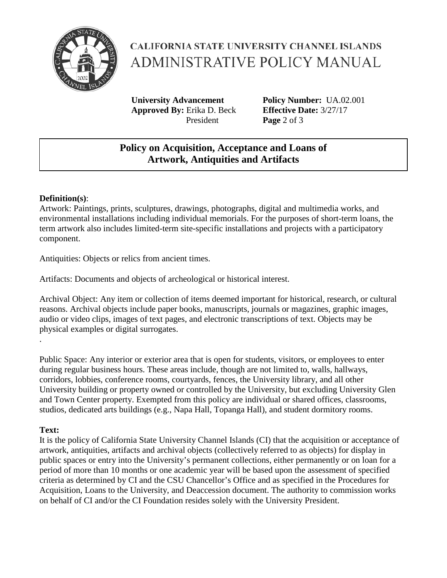

# **CALIFORNIA STATE UNIVERSITY CHANNEL ISLANDS** ADMINISTRATIVE POLICY MANUAL

**University Advancement Policy Number:** UA.02.001 **Approved By:** Erika D. Beck **Effective Date:** 3/27/17 President **Page** 2 of 3

## **Policy on Acquisition, Acceptance and Loans of Artwork, Antiquities and Artifacts**

#### **Definition(s)**:

Artwork: Paintings, prints, sculptures, drawings, photographs, digital and multimedia works, and environmental installations including individual memorials. For the purposes of short-term loans, the term artwork also includes limited-term site-specific installations and projects with a participatory component.

Antiquities: Objects or relics from ancient times.

Artifacts: Documents and objects of archeological or historical interest.

Archival Object: Any item or collection of items deemed important for historical, research, or cultural reasons. Archival objects include paper books, manuscripts, journals or magazines, graphic images, audio or video clips, images of text pages, and electronic transcriptions of text. Objects may be physical examples or digital surrogates.

Public Space: Any interior or exterior area that is open for students, visitors, or employees to enter during regular business hours. These areas include, though are not limited to, walls, hallways, corridors, lobbies, conference rooms, courtyards, fences, the University library, and all other University building or property owned or controlled by the University, but excluding University Glen and Town Center property. Exempted from this policy are individual or shared offices, classrooms, studios, dedicated arts buildings (e.g., Napa Hall, Topanga Hall), and student dormitory rooms.

### **Text:**

.

It is the policy of California State University Channel Islands (CI) that the acquisition or acceptance of artwork, antiquities, artifacts and archival objects (collectively referred to as objects) for display in public spaces or entry into the University's permanent collections, either permanently or on loan for a period of more than 10 months or one academic year will be based upon the assessment of specified criteria as determined by CI and the CSU Chancellor's Office and as specified in the Procedures for Acquisition, Loans to the University, and Deaccession document. The authority to commission works on behalf of CI and/or the CI Foundation resides solely with the University President.